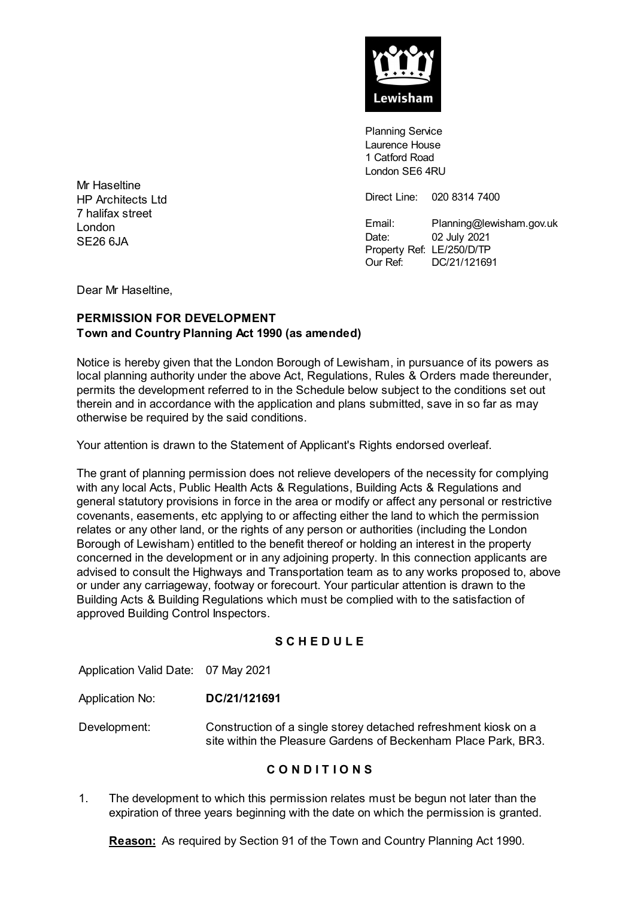

Planning Service Laurence House 1 Catford Road London SE6 4RU

Direct Line: 020 8314 7400

Email: Planning@lewisham.gov.uk Date: 02 July 2021 Property Ref: LE/250/D/TP Our Ref: DC/21/121691

Mr Haseltine HP Architects Ltd 7 halifax street London SE26 6JA

Dear Mr Haseltine,

### **PERMISSION FOR DEVELOPMENT Town and Country Planning Act 1990 (as amended)**

Notice is hereby given that the London Borough of Lewisham, in pursuance of its powers as local planning authority under the above Act, Regulations, Rules & Orders made thereunder, permits the development referred to in the Schedule below subject to the conditions set out therein and in accordance with the application and plans submitted, save in so far as may otherwise be required by the said conditions.

Your attention is drawn to the Statement of Applicant's Rights endorsed overleaf.

The grant of planning permission does not relieve developers of the necessity for complying with any local Acts, Public Health Acts & Regulations, Building Acts & Regulations and general statutory provisions in force in the area or modify or affect any personal or restrictive covenants, easements, etc applying to or affecting either the land to which the permission relates or any other land, or the rights of any person or authorities (including the London Borough of Lewisham) entitled to the benefit thereof or holding an interest in the property concerned in the development or in any adjoining property. In this connection applicants are advised to consult the Highways and Transportation team as to any works proposed to, above or under any carriageway, footway or forecourt. Your particular attention is drawn to the Building Acts & Building Regulations which must be complied with to the satisfaction of approved Building Control Inspectors.

#### **S C H E D U L E**

Application Valid Date: 07 May 2021

- Application No: **DC/21/121691**
- Development: Construction of a single storey detached refreshment kiosk on a site within the Pleasure Gardens of Beckenham Place Park, BR3.

#### **C O N D I T I O N S**

1. The development to which this permission relates must be begun not later than the expiration of three years beginning with the date on which the permission is granted.

**Reason:** As required by Section 91 of the Town and Country Planning Act 1990.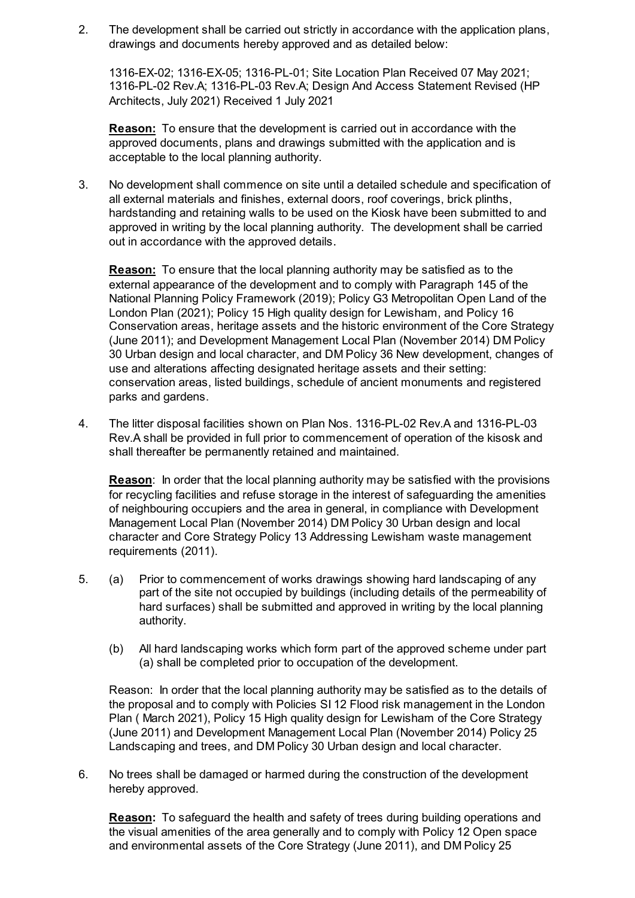2. The development shall be carried out strictly in accordance with the application plans, drawings and documents hereby approved and as detailed below:

1316-EX-02; 1316-EX-05; 1316-PL-01; Site Location Plan Received 07 May 2021; 1316-PL-02 Rev.A; 1316-PL-03 Rev.A; Design And Access Statement Revised (HP Architects, July 2021) Received 1 July 2021

**Reason:** To ensure that the development is carried out in accordance with the approved documents, plans and drawings submitted with the application and is acceptable to the local planning authority.

3. No development shall commence on site until a detailed schedule and specification of all external materials and finishes, external doors, roof coverings, brick plinths, hardstanding and retaining walls to be used on the Kiosk have been submitted to and approved in writing by the local planning authority. The development shall be carried out in accordance with the approved details.

**Reason:** To ensure that the local planning authority may be satisfied as to the external appearance of the development and to comply with Paragraph 145 of the National Planning Policy Framework (2019); Policy G3 Metropolitan Open Land of the London Plan (2021); Policy 15 High quality design for Lewisham, and Policy 16 Conservation areas, heritage assets and the historic environment of the Core Strategy (June 2011); and Development Management Local Plan (November 2014) DM Policy 30 Urban design and local character, and DM Policy 36 New development, changes of use and alterations affecting designated heritage assets and their setting: conservation areas, listed buildings, schedule of ancient monuments and registered parks and gardens.

4. The litter disposal facilities shown on Plan Nos. 1316-PL-02 Rev.A and 1316-PL-03 Rev.A shall be provided in full prior to commencement of operation of the kisosk and shall thereafter be permanently retained and maintained.

**Reason**: In order that the local planning authority may be satisfied with the provisions for recycling facilities and refuse storage in the interest of safeguarding the amenities of neighbouring occupiers and the area in general, in compliance with Development Management Local Plan (November 2014) DM Policy 30 Urban design and local character and Core Strategy Policy 13 Addressing Lewisham waste management requirements (2011).

- 5. (a) Prior to commencement of works drawings showing hard landscaping of any part of the site not occupied by buildings (including details of the permeability of hard surfaces) shall be submitted and approved in writing by the local planning authority.
	- (b) All hard landscaping works which form part of the approved scheme under part (a) shall be completed prior to occupation of the development.

Reason: In order that the local planning authority may be satisfied as to the details of the proposal and to comply with Policies SI 12 Flood risk management in the London Plan ( March 2021), Policy 15 High quality design for Lewisham of the Core Strategy (June 2011) and Development Management Local Plan (November 2014) Policy 25 Landscaping and trees, and DM Policy 30 Urban design and local character.

6. No trees shall be damaged or harmed during the construction of the development hereby approved.

**Reason:** To safeguard the health and safety of trees during building operations and the visual amenities of the area generally and to comply with Policy 12 Open space and environmental assets of the Core Strategy (June 2011), and DM Policy 25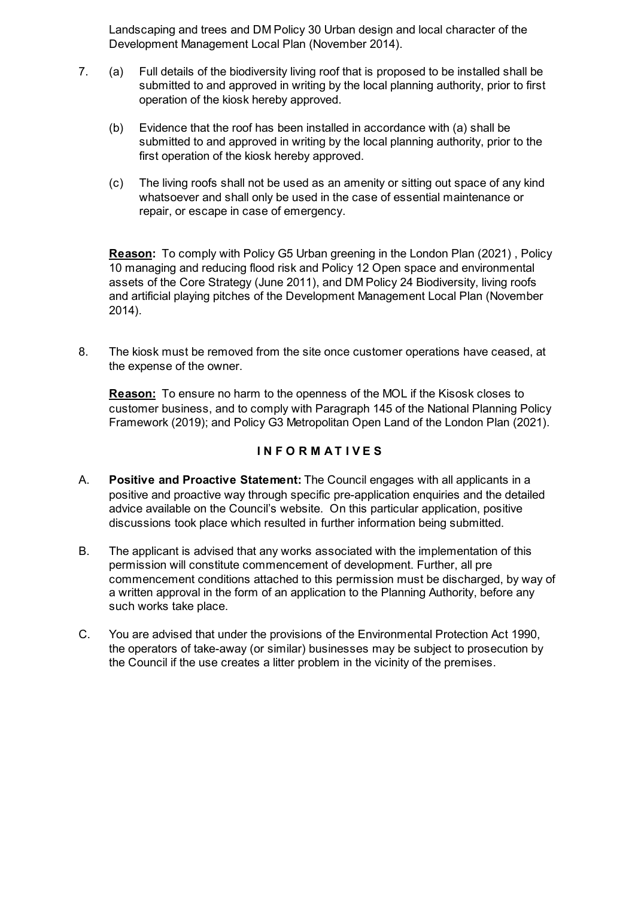Landscaping and trees and DM Policy 30 Urban design and local character of the Development Management Local Plan (November 2014).

- 7. (a) Full details of the biodiversity living roof that is proposed to be installed shall be submitted to and approved in writing by the local planning authority, prior to first operation of the kiosk hereby approved.
	- (b) Evidence that the roof has been installed in accordance with (a) shall be submitted to and approved in writing by the local planning authority, prior to the first operation of the kiosk hereby approved.
	- (c) The living roofs shall not be used as an amenity or sitting out space of any kind whatsoever and shall only be used in the case of essential maintenance or repair, or escape in case of emergency.

**Reason:** To comply with Policy G5 Urban greening in the London Plan (2021) , Policy 10 managing and reducing flood risk and Policy 12 Open space and environmental assets of the Core Strategy (June 2011), and DM Policy 24 Biodiversity, living roofs and artificial playing pitches of the Development Management Local Plan (November 2014).

8. The kiosk must be removed from the site once customer operations have ceased, at the expense of the owner.

**Reason:** To ensure no harm to the openness of the MOL if the Kisosk closes to customer business, and to comply with Paragraph 145 of the National Planning Policy Framework (2019); and Policy G3 Metropolitan Open Land of the London Plan (2021).

## **I N F O R M A T I V E S**

- A. **Positive and Proactive Statement:** The Council engages with all applicants in a positive and proactive way through specific pre-application enquiries and the detailed advice available on the Council's website. On this particular application, positive discussions took place which resulted in further information being submitted.
- B. The applicant is advised that any works associated with the implementation of this permission will constitute commencement of development. Further, all pre commencement conditions attached to this permission must be discharged, by way of a written approval in the form of an application to the Planning Authority, before any such works take place.
- C. You are advised that under the provisions of the Environmental Protection Act 1990, the operators of take-away (or similar) businesses may be subject to prosecution by the Council if the use creates a litter problem in the vicinity of the premises.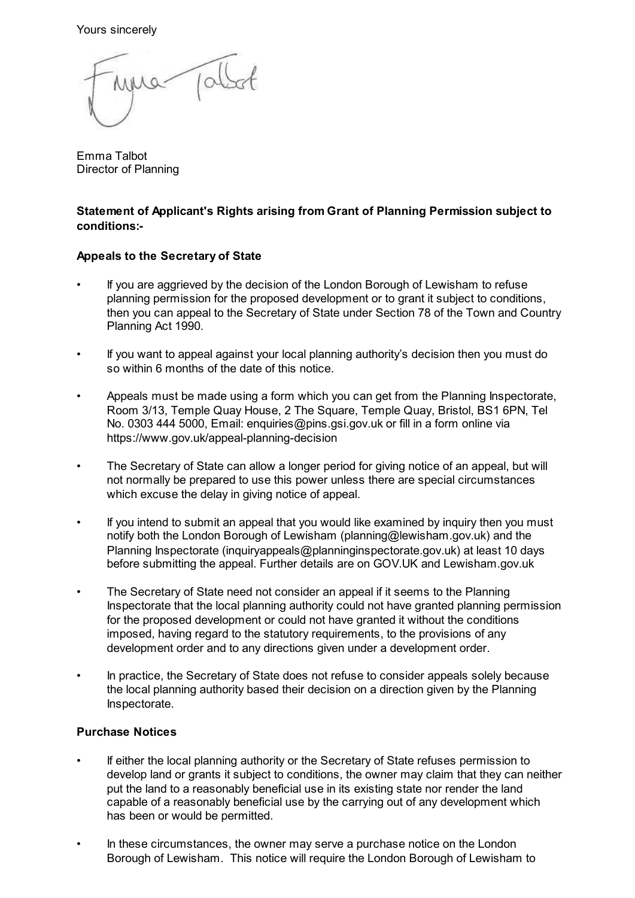Yours sincerely

 $10<$ 

Emma Talbot Director of Planning

## **Statement of Applicant's Rights arising from Grant of Planning Permission subject to conditions:-**

# **Appeals to the Secretary of State**

- If you are aggrieved by the decision of the London Borough of Lewisham to refuse planning permission for the proposed development or to grant it subject to conditions, then you can appeal to the Secretary of State under Section 78 of the Town and Country Planning Act 1990.
- If you want to appeal against your local planning authority's decision then you must do so within 6 months of the date of this notice.
- Appeals must be made using a form which you can get from the Planning Inspectorate, Room 3/13, Temple Quay House, 2 The Square, Temple Quay, Bristol, BS1 6PN, Tel No. 0303 444 5000, Email: enquiries@pins.gsi.gov.uk or fill in a form online via https://www.gov.uk/appeal-planning-decision
- The Secretary of State can allow a longer period for giving notice of an appeal, but will not normally be prepared to use this power unless there are special circumstances which excuse the delay in giving notice of appeal.
- If you intend to submit an appeal that you would like examined by inquiry then you must notify both the London Borough of Lewisham (planning@lewisham.gov.uk) and the Planning Inspectorate (inquiryappeals@planninginspectorate.gov.uk) at least 10 days before submitting the appeal. Further details are on GOV.UK and Lewisham.gov.uk
- The Secretary of State need not consider an appeal if it seems to the Planning Inspectorate that the local planning authority could not have granted planning permission for the proposed development or could not have granted it without the conditions imposed, having regard to the statutory requirements, to the provisions of any development order and to any directions given under a development order.
- In practice, the Secretary of State does not refuse to consider appeals solely because the local planning authority based their decision on a direction given by the Planning Inspectorate.

# **Purchase Notices**

- If either the local planning authority or the Secretary of State refuses permission to develop land or grants it subject to conditions, the owner may claim that they can neither put the land to a reasonably beneficial use in its existing state nor render the land capable of a reasonably beneficial use by the carrying out of any development which has been or would be permitted.
- In these circumstances, the owner may serve a purchase notice on the London Borough of Lewisham. This notice will require the London Borough of Lewisham to